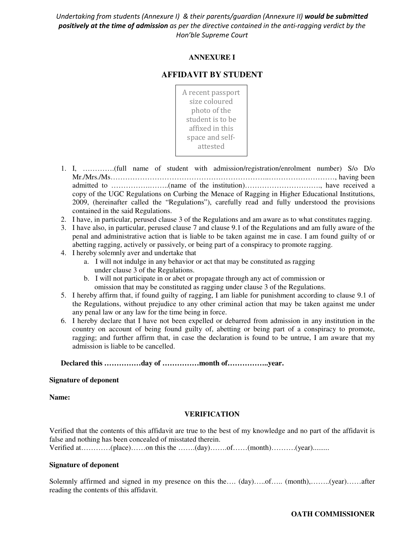*Undertaking from students (Annexure I) & their parents/guardian (Annexure II) would be submitted positively at the time of admission as per the directive contained in the anti-ragging verdict by the Hon'ble Supreme Court* 

# **ANNEXURE I**

# **AFFIDAVIT BY STUDENT**

A recent passport size coloured photo of the student is to be affixed in this space and selfattested

- 1. I, ………….(full name of student with admission/registration/enrolment number) S/o D/o Mr./Mrs./Ms………………………………………………………..………………………, having been admitted to …………….……..(name of the institution)…………………………., have received a copy of the UGC Regulations on Curbing the Menace of Ragging in Higher Educational Institutions, 2009, (hereinafter called the "Regulations"), carefully read and fully understood the provisions contained in the said Regulations.
- 2. I have, in particular, perused clause 3 of the Regulations and am aware as to what constitutes ragging.
- 3. I have also, in particular, perused clause 7 and clause 9.1 of the Regulations and am fully aware of the penal and administrative action that is liable to be taken against me in case. I am found guilty of or abetting ragging, actively or passively, or being part of a conspiracy to promote ragging.
- 4. I hereby solemnly aver and undertake that
	- a. I will not indulge in any behavior or act that may be constituted as ragging under clause 3 of the Regulations.
	- b. I will not participate in or abet or propagate through any act of commission or omission that may be constituted as ragging under clause 3 of the Regulations.
- 5. I hereby affirm that, if found guilty of ragging, I am liable for punishment according to clause 9.1 of the Regulations, without prejudice to any other criminal action that may be taken against me under any penal law or any law for the time being in force.
- 6. I hereby declare that I have not been expelled or debarred from admission in any institution in the country on account of being found guilty of, abetting or being part of a conspiracy to promote, ragging; and further affirm that, in case the declaration is found to be untrue, I am aware that my admission is liable to be cancelled.

**Declared this ……………day of ……………month of……………..year.** 

#### **Signature of deponent**

**Name:** 

## **VERIFICATION**

Verified that the contents of this affidavit are true to the best of my knowledge and no part of the affidavit is false and nothing has been concealed of misstated therein.

Verified at…………(place)……on this the …….(day)…….of……(month)……….(year).........

#### **Signature of deponent**

Solemnly affirmed and signed in my presence on this the…. (day)…..of….. (month),……..(year)……after reading the contents of this affidavit.